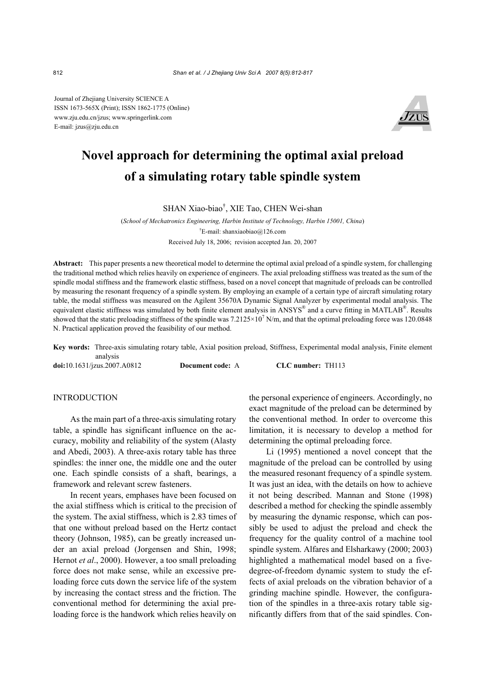Journal of Zhejiang University SCIENCE A ISSN 1673-565X (Print); ISSN 1862-1775 (Online) www.zju.edu.cn/jzus; www.springerlink.com E-mail: jzus@zju.edu.cn



## **Novel approach for determining the optimal axial preload of a simulating rotary table spindle system**

SHAN Xiao-biao† , XIE Tao, CHEN Wei-shan

(*School of Mechatronics Engineering, Harbin Institute of Technology, Harbin 15001, China*) † E-mail: shanxiaobiao@126.com Received July 18, 2006; revision accepted Jan. 20, 2007

**Abstract:** This paper presents a new theoretical model to determine the optimal axial preload of a spindle system, for challenging the traditional method which relies heavily on experience of engineers. The axial preloading stiffness was treated as the sum of the spindle modal stiffness and the framework elastic stiffness, based on a novel concept that magnitude of preloads can be controlled by measuring the resonant frequency of a spindle system. By employing an example of a certain type of aircraft simulating rotary table, the modal stiffness was measured on the Agilent 35670A Dynamic Signal Analyzer by experimental modal analysis. The equivalent elastic stiffness was simulated by both finite element analysis in ANSYS® and a curve fitting in MATLAB®. Results showed that the static preloading stiffness of the spindle was  $7.2125 \times 10^7$  N/m, and that the optimal preloading force was 120.0848 N. Practical application proved the feasibility of our method.

**Key words:** Three-axis simulating rotary table, Axial position preload, Stiffness, Experimental modal analysis, Finite element analysis

**doi:**10.1631/jzus.2007.A0812 **Document code:** A **CLC number:** TH113

## INTRODUCTION

As the main part of a three-axis simulating rotary table, a spindle has significant influence on the accuracy, mobility and reliability of the system (Alasty and Abedi, 2003). A three-axis rotary table has three spindles: the inner one, the middle one and the outer one. Each spindle consists of a shaft, bearings, a framework and relevant screw fasteners.

In recent years, emphases have been focused on the axial stiffness which is critical to the precision of the system. The axial stiffness, which is 2.83 times of that one without preload based on the Hertz contact theory (Johnson, 1985), can be greatly increased under an axial preload (Jorgensen and Shin, 1998; Hernot *et al*., 2000). However, a too small preloading force does not make sense, while an excessive preloading force cuts down the service life of the system by increasing the contact stress and the friction. The conventional method for determining the axial preloading force is the handwork which relies heavily on the personal experience of engineers. Accordingly, no exact magnitude of the preload can be determined by the conventional method. In order to overcome this limitation, it is necessary to develop a method for determining the optimal preloading force.

Li (1995) mentioned a novel concept that the magnitude of the preload can be controlled by using the measured resonant frequency of a spindle system. It was just an idea, with the details on how to achieve it not being described. Mannan and Stone (1998) described a method for checking the spindle assembly by measuring the dynamic response, which can possibly be used to adjust the preload and check the frequency for the quality control of a machine tool spindle system. Alfares and Elsharkawy (2000; 2003) highlighted a mathematical model based on a fivedegree-of-freedom dynamic system to study the effects of axial preloads on the vibration behavior of a grinding machine spindle. However, the configuration of the spindles in a three-axis rotary table significantly differs from that of the said spindles. Con-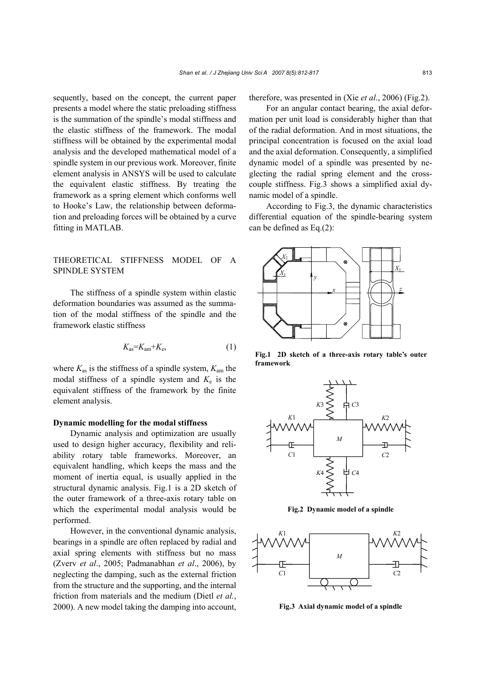sequently, based on the concept, the current paper presents a model where the static preloading stiffness is the summation of the spindle's modal stiffness and the elastic stiffness of the framework. The modal stiffness will be obtained by the experimental modal analysis and the developed mathematical model of a spindle system in our previous work. Moreover, finite element analysis in ANSYS will be used to calculate the equivalent elastic stiffness. By treating the framework as a spring element which conforms well to Hooke's Law, the relationship between deformation and preloading forces will be obtained by a curve fitting in MATLAB.

## THEORETICAL STIFFNESS MODEL OF A SPINDLE SYSTEM

The stiffness of a spindle system within elastic deformation boundaries was assumed as the summation of the modal stiffness of the spindle and the framework elastic stiffness

$$
K_{\text{as}}=K_{\text{am}}+K_{\text{e}},\tag{1}
$$

where *K*as is the stiffness of a spindle system, *K*am the modal stiffness of a spindle system and  $K_e$  is the equivalent stiffness of the framework by the finite element analysis.

#### **Dynamic modelling for the modal stiffness**

Dynamic analysis and optimization are usually used to design higher accuracy, flexibility and reliability rotary table frameworks. Moreover, an equivalent handling, which keeps the mass and the moment of inertia equal, is usually applied in the structural dynamic analysis. Fig.1 is a 2D sketch of the outer framework of a three-axis rotary table on which the experimental modal analysis would be performed.

However, in the conventional dynamic analysis, bearings in a spindle are often replaced by radial and axial spring elements with stiffness but no mass (Zverv *et al*., 2005; Padmanabhan *et al*., 2006), by neglecting the damping, such as the external friction from the structure and the supporting, and the internal friction from materials and the medium (Dietl *et al.*, 2000). A new model taking the damping into account, therefore, was presented in (Xie *et al*., 2006) (Fig.2).

For an angular contact bearing, the axial deformation per unit load is considerably higher than that of the radial deformation. And in most situations, the principal concentration is focused on the axial load and the axial deformation. Consequently, a simplified dynamic model of a spindle was presented by neglecting the radial spring element and the crosscouple stiffness. Fig.3 shows a simplified axial dynamic model of a spindle.

According to Fig.3, the dynamic characteristics differential equation of the spindle-bearing system can be defined as Eq.(2):



**Fig.1 2D sketch of a three-axis rotary table's outer framework** 



**Fig.2 Dynamic model of a spindle** 



**Fig.3 Axial dynamic model of a spindle**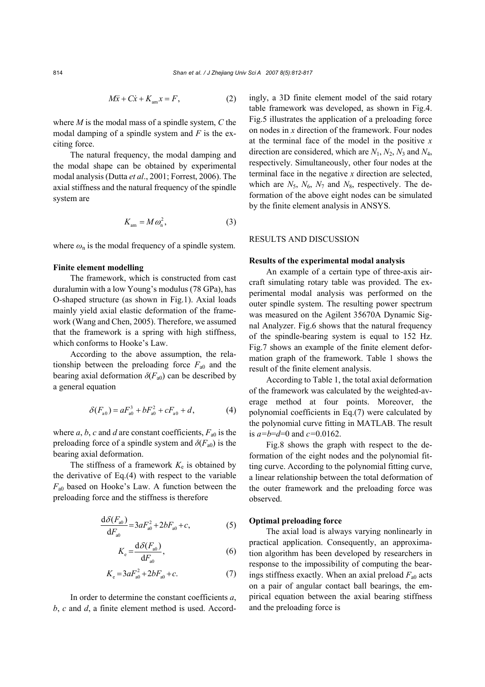$$
M\ddot{x} + C\dot{x} + K_{am}x = F,\t\t(2)
$$

where *M* is the modal mass of a spindle system, *C* the modal damping of a spindle system and *F* is the exciting force.

The natural frequency, the modal damping and the modal shape can be obtained by experimental modal analysis (Dutta *et al*., 2001; Forrest, 2006). The axial stiffness and the natural frequency of the spindle system are

$$
K_{\rm am} = M \omega_{\rm n}^2, \tag{3}
$$

where  $\omega_n$  is the modal frequency of a spindle system.

#### **Finite element modelling**

The framework, which is constructed from cast duralumin with a low Young's modulus (78 GPa), has O-shaped structure (as shown in Fig.1). Axial loads mainly yield axial elastic deformation of the framework (Wang and Chen, 2005). Therefore, we assumed that the framework is a spring with high stiffness, which conforms to Hooke's Law.

According to the above assumption, the relationship between the preloading force  $F_{a0}$  and the bearing axial deformation  $\delta(F_{a0})$  can be described by a general equation

$$
\delta(F_{a0}) = aF_{a0}^3 + bF_{a0}^2 + cF_{a0} + d,\tag{4}
$$

where  $a, b, c$  and  $d$  are constant coefficients,  $F_{a0}$  is the preloading force of a spindle system and  $\delta(F_{a0})$  is the bearing axial deformation.

The stiffness of a framework  $K_e$  is obtained by the derivative of Eq.(4) with respect to the variable  $F_{a0}$  based on Hooke's Law. A function between the preloading force and the stiffness is therefore

$$
\frac{\mathrm{d}\delta(F_{\text{a0}})}{\mathrm{d}F_{\text{a0}}} = 3aF_{\text{a0}}^2 + 2bF_{\text{a0}} + c,\tag{5}
$$

$$
K_{\rm e} = \frac{\mathrm{d}\delta(F_{\rm a0})}{\mathrm{d}F_{\rm a0}},\tag{6}
$$

$$
K_e = 3aF_{a0}^2 + 2bF_{a0} + c.
$$
 (7)

In order to determine the constant coefficients *a*, *b*, *c* and *d*, a finite element method is used. Accordingly, a 3D finite element model of the said rotary table framework was developed, as shown in Fig.4. Fig.5 illustrates the application of a preloading force on nodes in *x* direction of the framework. Four nodes at the terminal face of the model in the positive *x*  direction are considered, which are *N*1, *N*2, *N*3 and *N*4, respectively. Simultaneously, other four nodes at the terminal face in the negative *x* direction are selected, which are  $N_5$ ,  $N_6$ ,  $N_7$  and  $N_8$ , respectively. The deformation of the above eight nodes can be simulated by the finite element analysis in ANSYS.

## RESULTS AND DISCUSSION

#### **Results of the experimental modal analysis**

An example of a certain type of three-axis aircraft simulating rotary table was provided. The experimental modal analysis was performed on the outer spindle system. The resulting power spectrum was measured on the Agilent 35670A Dynamic Signal Analyzer. Fig.6 shows that the natural frequency of the spindle-bearing system is equal to 152 Hz. Fig.7 shows an example of the finite element deformation graph of the framework. Table 1 shows the result of the finite element analysis.

According to Table 1, the total axial deformation of the framework was calculated by the weighted-average method at four points. Moreover, the polynomial coefficients in Eq.(7) were calculated by the polynomial curve fitting in MATLAB. The result is *a=b*=*d*=0 and *c=*0.0162.

Fig.8 shows the graph with respect to the deformation of the eight nodes and the polynomial fitting curve. According to the polynomial fitting curve, a linear relationship between the total deformation of the outer framework and the preloading force was observed.

#### **Optimal preloading force**

The axial load is always varying nonlinearly in practical application. Consequently, an approximation algorithm has been developed by researchers in response to the impossibility of computing the bearings stiffness exactly. When an axial preload  $F_{a0}$  acts on a pair of angular contact ball bearings, the empirical equation between the axial bearing stiffness and the preloading force is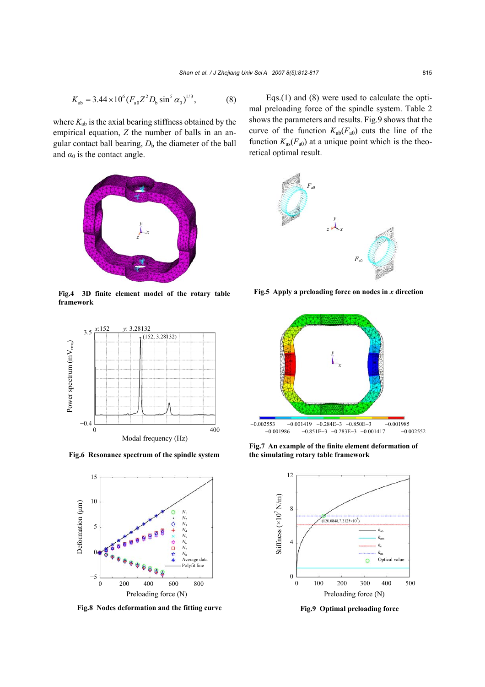$$
K_{ab} = 3.44 \times 10^6 (F_{a0} Z^2 D_b \sin^5 \alpha_0)^{1/3},
$$
 (8)

where  $K_{ab}$  is the axial bearing stiffness obtained by the empirical equation, *Z* the number of balls in an angular contact ball bearing,  $D<sub>b</sub>$  the diameter of the ball and  $\alpha_0$  is the contact angle.



**Fig.4 3D finite element model of the rotary table framework** 



**Fig.6 Resonance spectrum of the spindle system** 



**Fig.8 Nodes deformation and the fitting curve** 

Eqs.(1) and (8) were used to calculate the optimal preloading force of the spindle system. Table 2 shows the parameters and results. Fig.9 shows that the curve of the function  $K_{ab}(F_{a0})$  cuts the line of the function  $K_{as}(F_{a0})$  at a unique point which is the theoretical optimal result.



**Fig.5 Apply a preloading force on nodes in** *x* **direction**



**Fig.7 An example of the finite element deformation of the simulating rotary table framework** 



**Fig.9 Optimal preloading force**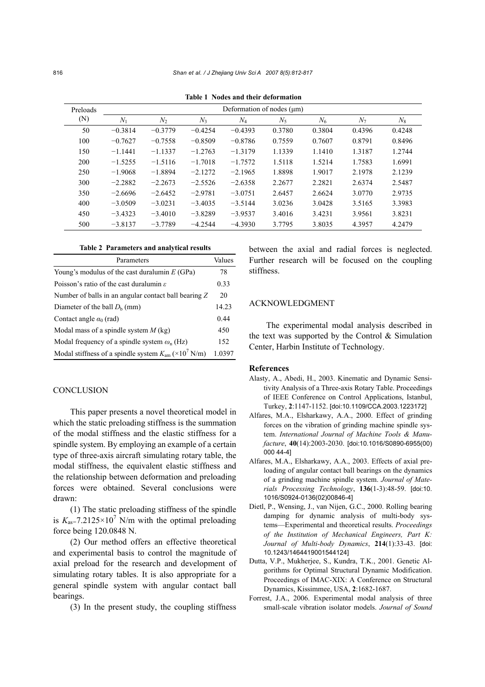| Preloads<br>(N) | Deformation of nodes (um) |           |           |           |        |        |                |        |
|-----------------|---------------------------|-----------|-----------|-----------|--------|--------|----------------|--------|
|                 | $N_1$                     | $N_2$     | $N_3$     | $N_4$     | $N_5$  | $N_6$  | N <sub>7</sub> | $N_8$  |
| 50              | $-0.3814$                 | $-0.3779$ | $-0.4254$ | $-0.4393$ | 0.3780 | 0.3804 | 0.4396         | 0.4248 |
| 100             | $-0.7627$                 | $-0.7558$ | $-0.8509$ | $-0.8786$ | 0.7559 | 0.7607 | 0.8791         | 0.8496 |
| 150             | $-1.1441$                 | $-1.1337$ | $-1.2763$ | $-1.3179$ | 1.1339 | 1.1410 | 1.3187         | 1.2744 |
| 200             | $-1.5255$                 | $-1.5116$ | $-1.7018$ | $-1.7572$ | 1.5118 | 1.5214 | 1.7583         | 1.6991 |
| 250             | $-1.9068$                 | $-1.8894$ | $-2.1272$ | $-2.1965$ | 1.8898 | 1.9017 | 2.1978         | 2.1239 |
| 300             | $-2.2882$                 | $-2.2673$ | $-2.5526$ | $-2.6358$ | 2.2677 | 2.2821 | 2.6374         | 2.5487 |
| 350             | $-2.6696$                 | $-2.6452$ | $-2.9781$ | $-3.0751$ | 2.6457 | 2.6624 | 3.0770         | 2.9735 |
| 400             | $-3.0509$                 | $-3.0231$ | $-3.4035$ | $-3.5144$ | 3.0236 | 3.0428 | 3.5165         | 3.3983 |
| 450             | $-3.4323$                 | $-3.4010$ | $-3.8289$ | $-3.9537$ | 3.4016 | 3.4231 | 3.9561         | 3.8231 |
| 500             | $-3.8137$                 | $-3.7789$ | $-4.2544$ | $-4.3930$ | 3.7795 | 3.8035 | 4.3957         | 4.2479 |

**Table 1 Nodes and their deformation** 

#### **Table 2 Parameters and analytical results**

| Parameters                                                                    | Values |
|-------------------------------------------------------------------------------|--------|
| Young's modulus of the cast duralum in $E(GPa)$                               | 78     |
| Poisson's ratio of the cast duralumin $\varepsilon$                           | 0.33   |
| Number of balls in an angular contact ball bearing Z                          | 20     |
| Diameter of the ball $D_h$ (mm)                                               | 14.23  |
| Contact angle $\alpha_0$ (rad)                                                | 0.44   |
| Modal mass of a spindle system $M$ (kg)                                       | 450    |
| Modal frequency of a spindle system $\omega_n$ (Hz)                           | 152    |
| Modal stiffness of a spindle system $K_{\text{am}} (\times 10^7 \text{ N/m})$ | 1.0397 |

### **CONCLUSION**

This paper presents a novel theoretical model in which the static preloading stiffness is the summation of the modal stiffness and the elastic stiffness for a spindle system. By employing an example of a certain type of three-axis aircraft simulating rotary table, the modal stiffness, the equivalent elastic stiffness and the relationship between deformation and preloading forces were obtained. Several conclusions were drawn:

(1) The static preloading stiffness of the spindle is  $K_{\text{as}} = 7.2125 \times 10^7$  N/m with the optimal preloading force being 120.0848 N.

(2) Our method offers an effective theoretical and experimental basis to control the magnitude of axial preload for the research and development of simulating rotary tables. It is also appropriate for a general spindle system with angular contact ball bearings.

(3) In the present study, the coupling stiffness

between the axial and radial forces is neglected. Further research will be focused on the coupling stiffness.

## ACKNOWLEDGMENT

The experimental modal analysis described in the text was supported by the Control  $\&$  Simulation Center, Harbin Institute of Technology.

#### **References**

- Alasty, A., Abedi, H., 2003. Kinematic and Dynamic Sensitivity Analysis of a Three-axis Rotary Table. Proceedings of IEEE Conference on Control Applications, Istanbul, Turkey, **2**:1147-1152. [doi:10.1109/CCA.2003.1223172]
- Alfares, M.A., Elsharkawy, A.A., 2000. Effect of grinding forces on the vibration of grinding machine spindle system. *International Journal of Machine Tools & Manufacture*, **40**(14):2003-2030. [doi:10.1016/S0890-6955(00) 000 44-4]
- Alfares, M.A., Elsharkawy, A.A., 2003. Effects of axial preloading of angular contact ball bearings on the dynamics of a grinding machine spindle system. *Journal of Materials Processing Technology*, **136**(1-3):48-59. [doi:10. 1016/S0924-0136(02)00846-4]
- Dietl, P., Wensing, J., van Nijen, G.C., 2000. Rolling bearing damping for dynamic analysis of multi-body systems—Experimental and theoretical results. *Proceedings of the Institution of Mechanical Engineers, Part K: Journal of Multi-body Dynamics*, **214**(1):33-43. [doi: 10.1243/1464419001544124]
- Dutta, V.P., Mukherjee, S., Kundra, T.K., 2001. Genetic Algorithms for Optimal Structural Dynamic Modification. Proceedings of IMAC-XIX: A Conference on Structural Dynamics, Kissimmee, USA, **2**:1682-1687.
- Forrest, J.A., 2006. Experimental modal analysis of three small-scale vibration isolator models. *Journal of Sound*